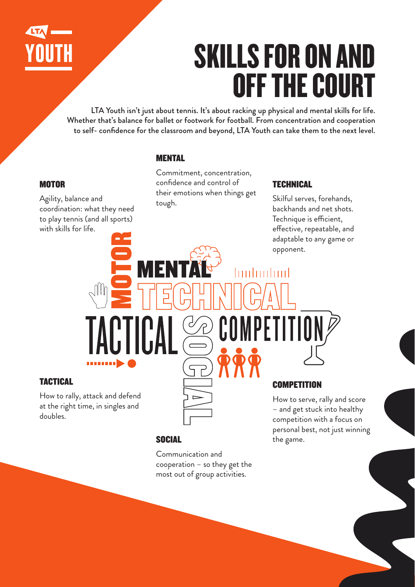

# SKILLS FOR ON AND OFF THE COURT

LTA Youth isn't just about tennis. It's about racking up physical and mental skills for life. Whether that's balance for ballet or footwork for football. From concentration and cooperation to self- confidence for the classroom and beyond, LTA Youth can take them to the next level.

# **MENTAL**

## **MOTOR**

Agility, balance and coordination: what they need to play tennis (and all sports) with skills for life.

Commitment, concentration, confidence and control of their emotions when things get tough.

# **TECHNICAL**

hinhuiliml

CUMP

Skilful serves, forehands, backhands and net shots. Technique is efficient, effective, repeatable, and adaptable to any game or opponent.

## TACTICAL

How to rally, attack and defend at the right time, in singles and doubles.



# **COMPETITION**

How to serve, rally and score – and get stuck into healthy competition with a focus on personal best, not just winning the game.

# **SOCIAL**

Communication and cooperation – so they get the most out of group activities.